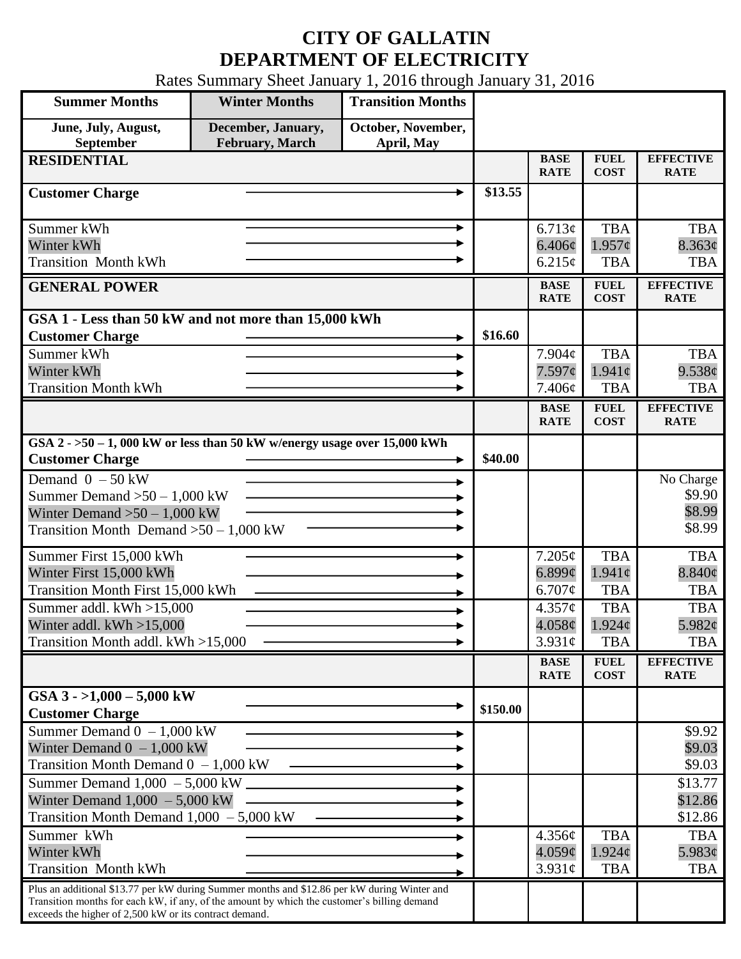## **CITY OF GALLATIN DEPARTMENT OF ELECTRICITY**

Rates Summary Sheet January 1, 2016 through January 31, 2016

| <b>Summer Months</b>                                                                                                                                                                                                                                 | <b>Winter Months</b>                          | <b>Transition Months</b>         |          |                                             |                                               |                                         |
|------------------------------------------------------------------------------------------------------------------------------------------------------------------------------------------------------------------------------------------------------|-----------------------------------------------|----------------------------------|----------|---------------------------------------------|-----------------------------------------------|-----------------------------------------|
| June, July, August,<br>September                                                                                                                                                                                                                     | December, January,<br><b>February</b> , March | October, November,<br>April, May |          |                                             |                                               |                                         |
| <b>RESIDENTIAL</b>                                                                                                                                                                                                                                   |                                               |                                  |          | <b>BASE</b><br><b>RATE</b>                  | <b>FUEL</b><br><b>COST</b>                    | <b>EFFECTIVE</b><br><b>RATE</b>         |
| <b>Customer Charge</b>                                                                                                                                                                                                                               |                                               |                                  | \$13.55  |                                             |                                               |                                         |
| Summer kWh<br>Winter kWh<br><b>Transition Month kWh</b>                                                                                                                                                                                              |                                               | ►                                |          | 6.713¢<br>$6.406\phi$<br>6.215¢             | <b>TBA</b><br>$1.957\phi$<br><b>TBA</b>       | <b>TBA</b><br>8.363¢<br><b>TBA</b>      |
| <b>GENERAL POWER</b>                                                                                                                                                                                                                                 |                                               |                                  |          | <b>BASE</b><br><b>RATE</b>                  | <b>FUEL</b><br><b>COST</b>                    | <b>EFFECTIVE</b><br><b>RATE</b>         |
| GSA 1 - Less than 50 kW and not more than 15,000 kWh<br><b>Customer Charge</b><br>Summer kWh<br>Winter kWh                                                                                                                                           |                                               |                                  | \$16.60  | 7.904c<br>7.597¢                            | <b>TBA</b><br>$1.941\mathrm{c}$               | <b>TBA</b><br>9.538¢                    |
| <b>Transition Month kWh</b>                                                                                                                                                                                                                          |                                               |                                  |          | 7.406¢                                      | <b>TBA</b>                                    | <b>TBA</b>                              |
|                                                                                                                                                                                                                                                      |                                               |                                  |          | <b>BASE</b><br><b>RATE</b>                  | <b>FUEL</b><br><b>COST</b>                    | <b>EFFECTIVE</b><br><b>RATE</b>         |
| GSA $2 - 50 - 1$ , 000 kW or less than 50 kW w/energy usage over 15,000 kWh<br><b>Customer Charge</b>                                                                                                                                                |                                               |                                  | \$40.00  |                                             |                                               |                                         |
| Demand $0 - 50$ kW<br>Summer Demand $>50 - 1,000$ kW<br>Winter Demand $>50-1,000$ kW<br>Transition Month Demand $>50-1,000$ kW                                                                                                                       |                                               |                                  |          |                                             |                                               | No Charge<br>\$9.90<br>\$8.99<br>\$8.99 |
| Summer First 15,000 kWh<br>Winter First 15,000 kWh<br><b>Transition Month First 15,000 kWh</b>                                                                                                                                                       |                                               |                                  |          | $7.205\phi$<br>6.899¢<br>6.707¢             | <b>TBA</b><br>$1.941\mathrm{c}$<br><b>TBA</b> | <b>TBA</b><br>$8.840\phi$<br><b>TBA</b> |
| $\overline{\text{Sum}}$ mer addl. kWh >15,000<br>Winter addl. $kWh > 15,000$<br>Transition Month addl. kWh >15,000                                                                                                                                   |                                               |                                  |          | $4.357\mathcal{C}$<br>4.058c<br>$3.931\ell$ | <b>TBA</b><br>1.924c<br><b>TBA</b>            | <b>TBA</b><br>5.982¢<br><b>TBA</b>      |
|                                                                                                                                                                                                                                                      |                                               |                                  |          | <b>BASE</b><br><b>RATE</b>                  | <b>FUEL</b><br><b>COST</b>                    | <b>EFFECTIVE</b><br><b>RATE</b>         |
| GSA $3 - 1,000 - 5,000$ kW<br><b>Customer Charge</b>                                                                                                                                                                                                 |                                               |                                  | \$150.00 |                                             |                                               |                                         |
| Summer Demand $0 - 1,000$ kW<br>Winter Demand $0 - 1,000$ kW<br>Transition Month Demand $0 - 1,000$ kW                                                                                                                                               |                                               |                                  |          |                                             |                                               | \$9.92<br>\$9.03<br>\$9.03              |
| Summer Demand $1,000 - 5,000$ kW ______<br>Winter Demand $1,000 - 5,000$ kW<br>Transition Month Demand $1,000 - 5,000$ kW                                                                                                                            |                                               |                                  |          |                                             |                                               | \$13.77<br>\$12.86<br>\$12.86           |
| Summer kWh<br>Winter kWh<br><b>Transition Month kWh</b>                                                                                                                                                                                              |                                               |                                  |          | 4.356¢<br>4.059¢<br>$3.931\phi$             | <b>TBA</b><br>$1.924\phi$<br><b>TBA</b>       | <b>TBA</b><br>5.983¢<br><b>TBA</b>      |
| Plus an additional \$13.77 per kW during Summer months and \$12.86 per kW during Winter and<br>Transition months for each kW, if any, of the amount by which the customer's billing demand<br>exceeds the higher of 2,500 kW or its contract demand. |                                               |                                  |          |                                             |                                               |                                         |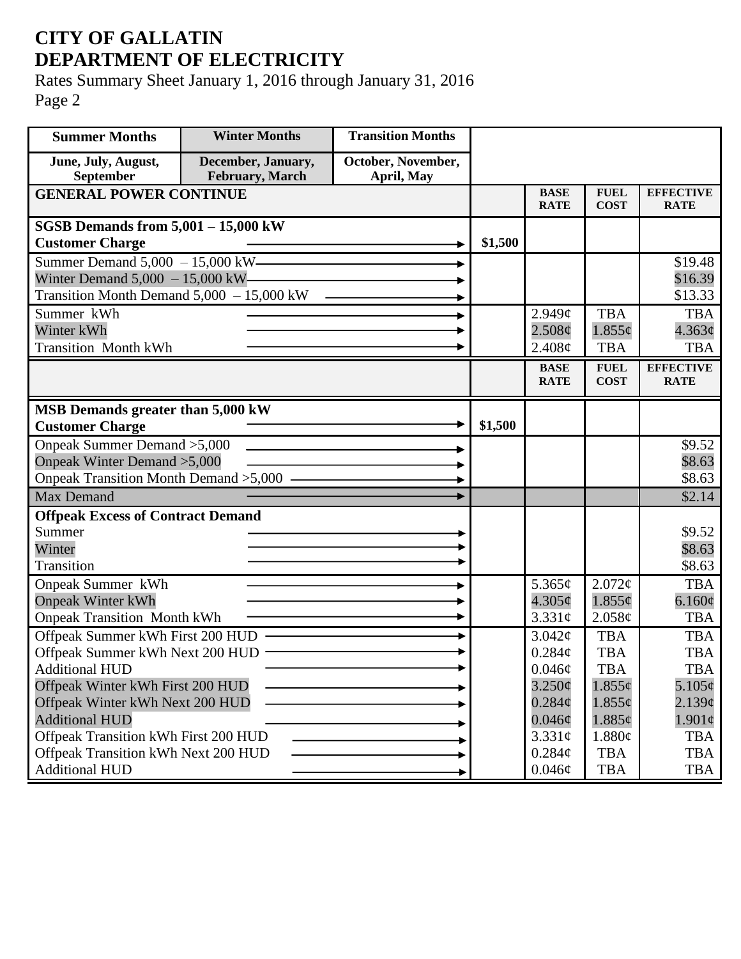## **CITY OF GALLATIN DEPARTMENT OF ELECTRICITY**

Rates Summary Sheet January 1, 2016 through January 31, 2016 Page 2

| <b>Summer Months</b>                                                | <b>Winter Months</b>                  | <b>Transition Months</b>         |         |                            |                            |                                 |
|---------------------------------------------------------------------|---------------------------------------|----------------------------------|---------|----------------------------|----------------------------|---------------------------------|
| June, July, August,<br>September                                    | December, January,<br>February, March | October, November,<br>April, May |         |                            |                            |                                 |
| <b>GENERAL POWER CONTINUE</b>                                       |                                       |                                  |         | <b>BASE</b><br><b>RATE</b> | <b>FUEL</b><br><b>COST</b> | <b>EFFECTIVE</b><br><b>RATE</b> |
| SGSB Demands from $5,001 - 15,000$ kW                               |                                       |                                  |         |                            |                            |                                 |
| <b>Customer Charge</b>                                              |                                       |                                  | \$1,500 |                            |                            |                                 |
|                                                                     | Summer Demand 5,000 - 15,000 kW       |                                  |         |                            |                            | \$19.48                         |
| Winter Demand $5,000 - 15,000$ kW-                                  |                                       |                                  |         |                            |                            | \$16.39                         |
| Transition Month Demand 5,000 - 15,000 kW                           |                                       |                                  |         |                            |                            | \$13.33                         |
| Summer kWh                                                          |                                       |                                  |         | $2.949\mathcal{C}$         | <b>TBA</b>                 | <b>TBA</b>                      |
| Winter kWh                                                          |                                       |                                  |         | 2.508¢                     | $1.855\epsilon$            | $4.363\phi$                     |
| <b>Transition Month kWh</b>                                         |                                       |                                  |         | 2.408¢                     | <b>TBA</b>                 | <b>TBA</b>                      |
|                                                                     |                                       |                                  |         | <b>BASE</b><br><b>RATE</b> | <b>FUEL</b><br><b>COST</b> | <b>EFFECTIVE</b><br><b>RATE</b> |
|                                                                     |                                       |                                  |         |                            |                            |                                 |
| MSB Demands greater than 5,000 kW                                   |                                       |                                  |         |                            |                            |                                 |
| <b>Customer Charge</b>                                              |                                       |                                  | \$1,500 |                            |                            |                                 |
| Onpeak Summer Demand > 5,000                                        |                                       |                                  |         |                            |                            | \$9.52                          |
| Onpeak Winter Demand > 5,000                                        |                                       |                                  |         |                            |                            | \$8.63                          |
| Onpeak Transition Month Demand > 5,000 -                            |                                       |                                  |         |                            |                            | \$8.63                          |
| <b>Max Demand</b>                                                   |                                       |                                  |         |                            |                            | \$2.14                          |
| <b>Offpeak Excess of Contract Demand</b>                            |                                       |                                  |         |                            |                            |                                 |
| Summer                                                              |                                       |                                  |         |                            |                            | \$9.52                          |
| Winter                                                              |                                       |                                  |         |                            |                            | \$8.63                          |
| <b>Transition</b>                                                   |                                       |                                  |         |                            |                            | \$8.63                          |
| Onpeak Summer kWh                                                   |                                       |                                  |         | 5.365 $\phi$               | 2.072¢                     | <b>TBA</b>                      |
| <b>Onpeak Winter kWh</b>                                            |                                       |                                  |         | $4.305\phi$                | $1.855\phi$                | 6.160¢                          |
| <b>Onpeak Transition Month kWh</b>                                  |                                       |                                  |         | $3.331\phi$                | 2.058¢                     | <b>TBA</b>                      |
| Offpeak Summer kWh First 200 HUD                                    |                                       |                                  |         | 3.042 <sub>c</sub>         | <b>TBA</b>                 | <b>TBA</b>                      |
| Offpeak Summer kWh Next 200 HUD ·                                   |                                       |                                  |         | 0.284¢                     | <b>TBA</b>                 | <b>TBA</b>                      |
| <b>Additional HUD</b>                                               |                                       |                                  |         | $0.046\phi$<br>$3.250\phi$ | TBA                        | <b>TBA</b><br>$5.105\phi$       |
| Offpeak Winter kWh First 200 HUD<br>Offpeak Winter kWh Next 200 HUD |                                       |                                  |         | $0.284\phi$                | $1.855\phi$<br>$1.855\phi$ | $2.139\mathcal{C}$              |
| <b>Additional HUD</b>                                               |                                       |                                  |         | $0.046\phi$                | 1.885¢                     | $1.901\phi$                     |
| Offpeak Transition kWh First 200 HUD                                |                                       |                                  |         | $3.331\phi$                | 1.880¢                     | <b>TBA</b>                      |
| Offpeak Transition kWh Next 200 HUD                                 |                                       |                                  |         | 0.284¢                     | <b>TBA</b>                 | <b>TBA</b>                      |
| <b>Additional HUD</b>                                               |                                       |                                  |         | $0.046\phi$                | <b>TBA</b>                 | TBA                             |